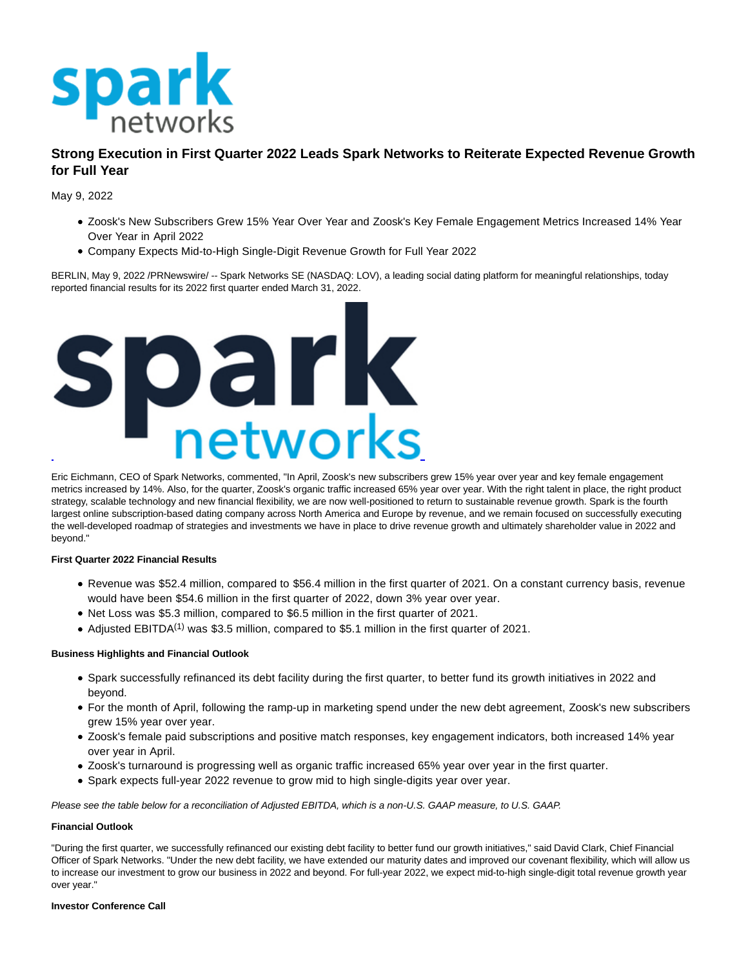

# **Strong Execution in First Quarter 2022 Leads Spark Networks to Reiterate Expected Revenue Growth for Full Year**

May 9, 2022

- Zoosk's New Subscribers Grew 15% Year Over Year and Zoosk's Key Female Engagement Metrics Increased 14% Year Over Year in April 2022
- Company Expects Mid-to-High Single-Digit Revenue Growth for Full Year 2022

BERLIN, May 9, 2022 /PRNewswire/ -- Spark Networks SE (NASDAQ: LOV), a leading social dating platform for meaningful relationships, today reported financial results for its 2022 first quarter ended March 31, 2022.



Eric Eichmann, CEO of Spark Networks, commented, "In April, Zoosk's new subscribers grew 15% year over year and key female engagement metrics increased by 14%. Also, for the quarter, Zoosk's organic traffic increased 65% year over year. With the right talent in place, the right product strategy, scalable technology and new financial flexibility, we are now well-positioned to return to sustainable revenue growth. Spark is the fourth largest online subscription-based dating company across North America and Europe by revenue, and we remain focused on successfully executing the well-developed roadmap of strategies and investments we have in place to drive revenue growth and ultimately shareholder value in 2022 and beyond."

### **First Quarter 2022 Financial Results**

- Revenue was \$52.4 million, compared to \$56.4 million in the first quarter of 2021. On a constant currency basis, revenue would have been \$54.6 million in the first quarter of 2022, down 3% year over year.
- Net Loss was \$5.3 million, compared to \$6.5 million in the first quarter of 2021.
- Adjusted EBITDA<sup>(1)</sup> was \$3.5 million, compared to \$5.1 million in the first quarter of 2021.

#### **Business Highlights and Financial Outlook**

- Spark successfully refinanced its debt facility during the first quarter, to better fund its growth initiatives in 2022 and beyond.
- For the month of April, following the ramp-up in marketing spend under the new debt agreement, Zoosk's new subscribers grew 15% year over year.
- Zoosk's female paid subscriptions and positive match responses, key engagement indicators, both increased 14% year over year in April.
- Zoosk's turnaround is progressing well as organic traffic increased 65% year over year in the first quarter.
- Spark expects full-year 2022 revenue to grow mid to high single-digits year over year.

Please see the table below for a reconciliation of Adjusted EBITDA, which is a non-U.S. GAAP measure, to U.S. GAAP.

#### **Financial Outlook**

"During the first quarter, we successfully refinanced our existing debt facility to better fund our growth initiatives," said David Clark, Chief Financial Officer of Spark Networks. "Under the new debt facility, we have extended our maturity dates and improved our covenant flexibility, which will allow us to increase our investment to grow our business in 2022 and beyond. For full-year 2022, we expect mid-to-high single-digit total revenue growth year over year."

#### **Investor Conference Call**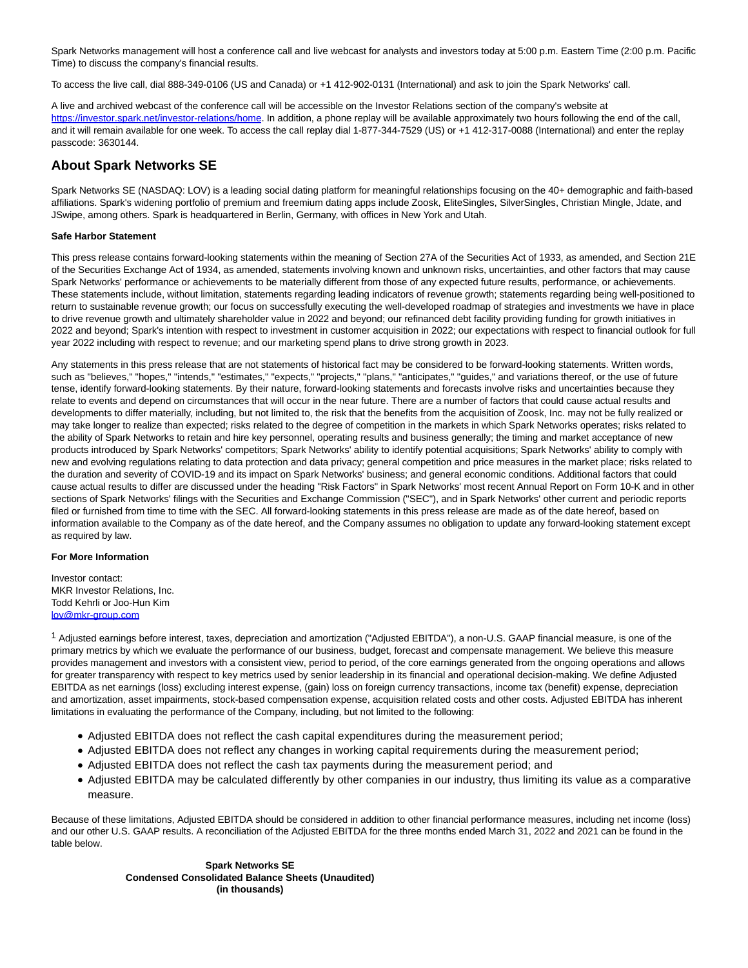Spark Networks management will host a conference call and live webcast for analysts and investors today at 5:00 p.m. Eastern Time (2:00 p.m. Pacific Time) to discuss the company's financial results.

To access the live call, dial 888-349-0106 (US and Canada) or +1 412-902-0131 (International) and ask to join the Spark Networks' call.

A live and archived webcast of the conference call will be accessible on the Investor Relations section of the company's website at [https://investor.spark.net/investor-relations/home.](https://c212.net/c/link/?t=0&l=en&o=3530703-1&h=769583018&u=https%3A%2F%2Finvestor.spark.net%2Finvestor-relations%2Fhome&a=https%3A%2F%2Finvestor.spark.net%2Finvestor-relations%2Fhome) In addition, a phone replay will be available approximately two hours following the end of the call, and it will remain available for one week. To access the call replay dial 1-877-344-7529 (US) or +1 412-317-0088 (International) and enter the replay passcode: 3630144.

## **About Spark Networks SE**

Spark Networks SE (NASDAQ: LOV) is a leading social dating platform for meaningful relationships focusing on the 40+ demographic and faith-based affiliations. Spark's widening portfolio of premium and freemium dating apps include Zoosk, EliteSingles, SilverSingles, Christian Mingle, Jdate, and JSwipe, among others. Spark is headquartered in Berlin, Germany, with offices in New York and Utah.

### **Safe Harbor Statement**

This press release contains forward-looking statements within the meaning of Section 27A of the Securities Act of 1933, as amended, and Section 21E of the Securities Exchange Act of 1934, as amended, statements involving known and unknown risks, uncertainties, and other factors that may cause Spark Networks' performance or achievements to be materially different from those of any expected future results, performance, or achievements. These statements include, without limitation, statements regarding leading indicators of revenue growth; statements regarding being well-positioned to return to sustainable revenue growth; our focus on successfully executing the well-developed roadmap of strategies and investments we have in place to drive revenue growth and ultimately shareholder value in 2022 and beyond; our refinanced debt facility providing funding for growth initiatives in 2022 and beyond; Spark's intention with respect to investment in customer acquisition in 2022; our expectations with respect to financial outlook for full year 2022 including with respect to revenue; and our marketing spend plans to drive strong growth in 2023.

Any statements in this press release that are not statements of historical fact may be considered to be forward-looking statements. Written words, such as "believes," "hopes," "intends," "estimates," "expects," "projects," "plans," "anticipates," "guides," and variations thereof, or the use of future tense, identify forward-looking statements. By their nature, forward-looking statements and forecasts involve risks and uncertainties because they relate to events and depend on circumstances that will occur in the near future. There are a number of factors that could cause actual results and developments to differ materially, including, but not limited to, the risk that the benefits from the acquisition of Zoosk, Inc. may not be fully realized or may take longer to realize than expected; risks related to the degree of competition in the markets in which Spark Networks operates; risks related to the ability of Spark Networks to retain and hire key personnel, operating results and business generally; the timing and market acceptance of new products introduced by Spark Networks' competitors; Spark Networks' ability to identify potential acquisitions; Spark Networks' ability to comply with new and evolving regulations relating to data protection and data privacy; general competition and price measures in the market place; risks related to the duration and severity of COVID-19 and its impact on Spark Networks' business; and general economic conditions. Additional factors that could cause actual results to differ are discussed under the heading "Risk Factors" in Spark Networks' most recent Annual Report on Form 10-K and in other sections of Spark Networks' filings with the Securities and Exchange Commission ("SEC"), and in Spark Networks' other current and periodic reports filed or furnished from time to time with the SEC. All forward-looking statements in this press release are made as of the date hereof, based on information available to the Company as of the date hereof, and the Company assumes no obligation to update any forward-looking statement except as required by law.

#### **For More Information**

Investor contact: MKR Investor Relations, Inc. Todd Kehrli or Joo-Hun Kim [lov@mkr-group.com](mailto:lov@mkr-group.com)

<sup>1</sup> Adjusted earnings before interest, taxes, depreciation and amortization ("Adjusted EBITDA"), a non-U.S. GAAP financial measure, is one of the primary metrics by which we evaluate the performance of our business, budget, forecast and compensate management. We believe this measure provides management and investors with a consistent view, period to period, of the core earnings generated from the ongoing operations and allows for greater transparency with respect to key metrics used by senior leadership in its financial and operational decision-making. We define Adjusted EBITDA as net earnings (loss) excluding interest expense, (gain) loss on foreign currency transactions, income tax (benefit) expense, depreciation and amortization, asset impairments, stock-based compensation expense, acquisition related costs and other costs. Adjusted EBITDA has inherent limitations in evaluating the performance of the Company, including, but not limited to the following:

- Adjusted EBITDA does not reflect the cash capital expenditures during the measurement period;
- Adjusted EBITDA does not reflect any changes in working capital requirements during the measurement period;
- Adjusted EBITDA does not reflect the cash tax payments during the measurement period; and
- Adjusted EBITDA may be calculated differently by other companies in our industry, thus limiting its value as a comparative measure.

Because of these limitations, Adjusted EBITDA should be considered in addition to other financial performance measures, including net income (loss) and our other U.S. GAAP results. A reconciliation of the Adjusted EBITDA for the three months ended March 31, 2022 and 2021 can be found in the table below.

> **Spark Networks SE Condensed Consolidated Balance Sheets (Unaudited) (in thousands)**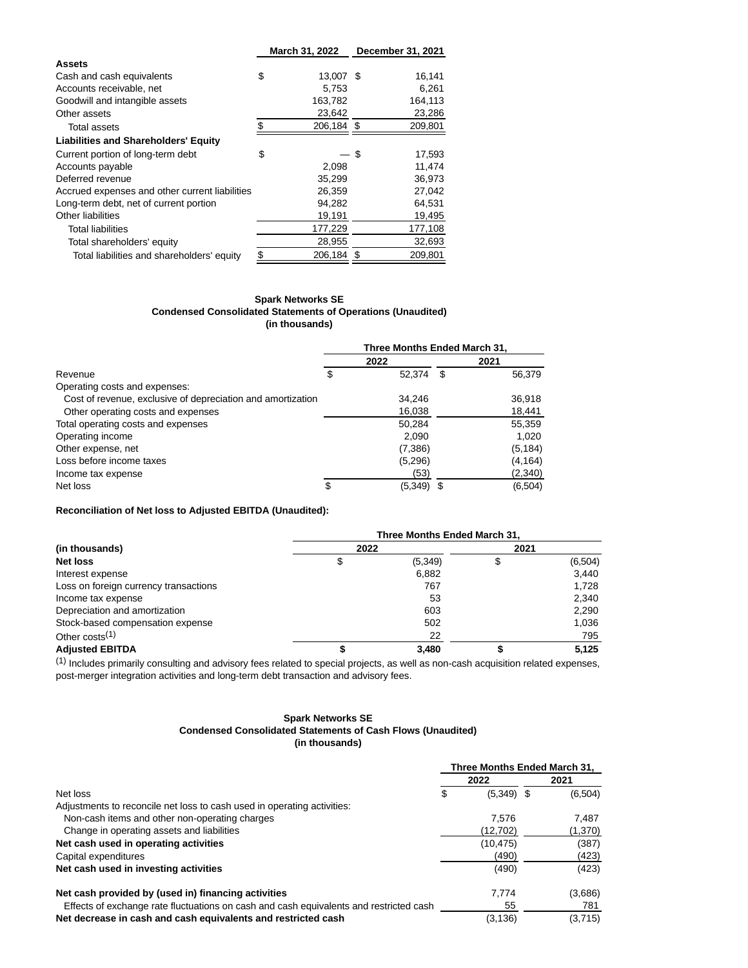|                                                | March 31, 2022 |            | December 31, 2021 |         |
|------------------------------------------------|----------------|------------|-------------------|---------|
| Assets                                         |                |            |                   |         |
| Cash and cash equivalents                      | \$             | 13,007     | - \$              | 16,141  |
| Accounts receivable, net                       |                | 5.753      |                   | 6.261   |
| Goodwill and intangible assets                 |                | 163,782    |                   | 164,113 |
| Other assets                                   |                | 23,642     |                   | 23,286  |
| Total assets                                   | \$.            | 206,184 \$ |                   | 209,801 |
| <b>Liabilities and Shareholders' Equity</b>    |                |            |                   |         |
| Current portion of long-term debt              | \$             |            | - \$              | 17,593  |
| Accounts payable                               |                | 2.098      |                   | 11.474  |
| Deferred revenue                               |                | 35,299     |                   | 36,973  |
| Accrued expenses and other current liabilities |                | 26,359     |                   | 27,042  |
| Long-term debt, net of current portion         |                | 94,282     |                   | 64,531  |
| Other liabilities                              |                | 19,191     |                   | 19,495  |
| <b>Total liabilities</b>                       |                | 177,229    |                   | 177,108 |
| Total shareholders' equity                     |                | 28,955     |                   | 32,693  |
| Total liabilities and shareholders' equity     | \$             | 206.184    | \$                | 209.801 |

#### **Spark Networks SE Condensed Consolidated Statements of Operations (Unaudited) (in thousands)**

|                                                             | Three Months Ended March 31, |         |   |          |
|-------------------------------------------------------------|------------------------------|---------|---|----------|
|                                                             |                              | 2022    |   | 2021     |
| Revenue                                                     | \$                           | 52.374  | S | 56,379   |
| Operating costs and expenses:                               |                              |         |   |          |
| Cost of revenue, exclusive of depreciation and amortization |                              | 34,246  |   | 36,918   |
| Other operating costs and expenses                          |                              | 16,038  |   | 18,441   |
| Total operating costs and expenses                          |                              | 50,284  |   | 55,359   |
| Operating income                                            |                              | 2,090   |   | 1,020    |
| Other expense, net                                          |                              | (7,386) |   | (5, 184) |
| Loss before income taxes                                    |                              | (5,296) |   | (4, 164) |
| Income tax expense                                          |                              | (53)    |   | (2,340)  |
| Net loss                                                    |                              | (5,349) |   | (6,504)  |

### **Reconciliation of Net loss to Adjusted EBITDA (Unaudited):**

|                                       | Three Months Ended March 31, |         |      |         |  |  |
|---------------------------------------|------------------------------|---------|------|---------|--|--|
| (in thousands)                        | 2022                         |         | 2021 |         |  |  |
| Net loss                              |                              | (5,349) | \$   | (6,504) |  |  |
| Interest expense                      |                              | 6,882   |      | 3.440   |  |  |
| Loss on foreign currency transactions |                              | 767     |      | 1.728   |  |  |
| Income tax expense                    |                              | 53      |      | 2.340   |  |  |
| Depreciation and amortization         |                              | 603     |      | 2,290   |  |  |
| Stock-based compensation expense      |                              | 502     |      | 1,036   |  |  |
| Other costs $(1)$                     |                              | 22      |      | 795     |  |  |
| <b>Adjusted EBITDA</b>                |                              | 3.480   |      | 5,125   |  |  |
| $\left( \mathbf{A} \right)$           |                              |         |      |         |  |  |

(1) Includes primarily consulting and advisory fees related to special projects, as well as non-cash acquisition related expenses, post-merger integration activities and long-term debt transaction and advisory fees.

#### **Spark Networks SE Condensed Consolidated Statements of Cash Flows (Unaudited) (in thousands)**

|                                                                                        |  | Three Months Ended March 31, |      |         |  |  |
|----------------------------------------------------------------------------------------|--|------------------------------|------|---------|--|--|
|                                                                                        |  | 2022                         | 2021 |         |  |  |
| Net loss                                                                               |  | $(5,349)$ \$                 |      | (6,504) |  |  |
| Adjustments to reconcile net loss to cash used in operating activities:                |  |                              |      |         |  |  |
| Non-cash items and other non-operating charges                                         |  | 7.576                        |      | 7.487   |  |  |
| Change in operating assets and liabilities                                             |  | (12,702)                     |      | (1,370) |  |  |
| Net cash used in operating activities                                                  |  | (10, 475)                    |      | (387)   |  |  |
| Capital expenditures                                                                   |  | (490)                        |      | (423)   |  |  |
| Net cash used in investing activities                                                  |  | (490)                        |      | (423)   |  |  |
| Net cash provided by (used in) financing activities                                    |  | 7.774                        |      | (3,686) |  |  |
| Effects of exchange rate fluctuations on cash and cash equivalents and restricted cash |  | 55                           |      | 781     |  |  |
| Net decrease in cash and cash equivalents and restricted cash                          |  | (3, 136)                     |      | (3,715) |  |  |